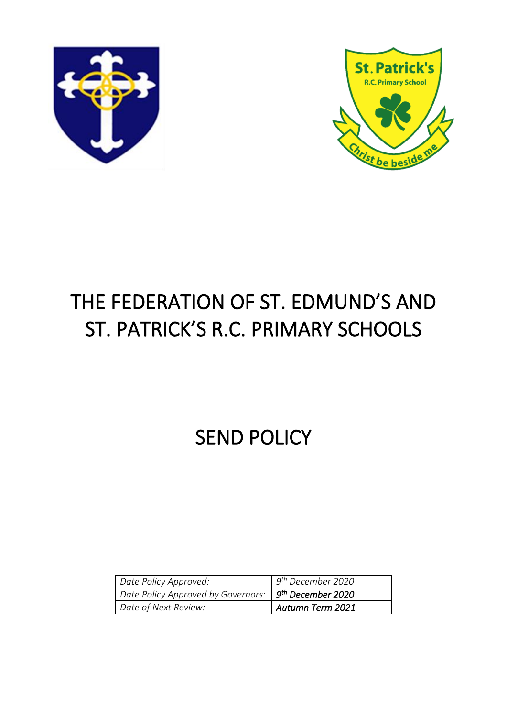



# THE FEDERATION OF ST. EDMUND'S AND ST. PATRICK'S R.C. PRIMARY SCHOOLS

## SEND POLICY

| Date Policy Approved:                                  | 9 <sup>th</sup> December 2020 |
|--------------------------------------------------------|-------------------------------|
| Date Policy Approved by Governors: $9th$ December 2020 |                               |
| Date of Next Review:                                   | Autumn Term 2021              |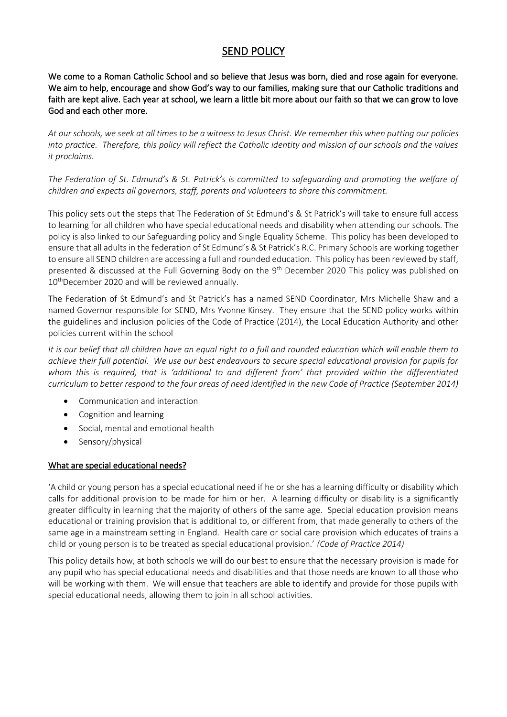### SEND POLICY

We come to a Roman Catholic School and so believe that Jesus was born, died and rose again for everyone. We aim to help, encourage and show God's way to our families, making sure that our Catholic traditions and faith are kept alive. Each year at school, we learn a little bit more about our faith so that we can grow to love God and each other more.

*At our schools, we seek at all times to be a witness to Jesus Christ. We remember this when putting our policies into practice. Therefore, this policy will reflect the Catholic identity and mission of our schools and the values it proclaims.*

*The Federation of St. Edmund's & St. Patrick's is committed to safeguarding and promoting the welfare of children and expects all governors, staff, parents and volunteers to share this commitment.*

This policy sets out the steps that The Federation of St Edmund's & St Patrick's will take to ensure full access to learning for all children who have special educational needs and disability when attending our schools. The policy is also linked to our Safeguarding policy and Single Equality Scheme. This policy has been developed to ensure that all adults in the federation of St Edmund's & St Patrick's R.C. Primary Schools are working together to ensure all SEND children are accessing a full and rounded education. This policy has been reviewed by staff, presented & discussed at the Full Governing Body on the 9<sup>th</sup> December 2020 This policy was published on  $10^{th}$ December 2020 and will be reviewed annually.

The Federation of St Edmund's and St Patrick's has a named SEND Coordinator, Mrs Michelle Shaw and a named Governor responsible for SEND, Mrs Yvonne Kinsey. They ensure that the SEND policy works within the guidelines and inclusion policies of the Code of Practice (2014), the Local Education Authority and other policies current within the school

*It is our belief that all children have an equal right to a full and rounded education which will enable them to achieve their full potential. We use our best endeavours to secure special educational provision for pupils for whom this is required, that is 'additional to and different from' that provided within the differentiated curriculum to better respond to the four areas of need identified in the new Code of Practice (September 2014)*

- Communication and interaction
- Cognition and learning
- Social, mental and emotional health
- Sensory/physical

#### What are special educational needs?

'A child or young person has a special educational need if he or she has a learning difficulty or disability which calls for additional provision to be made for him or her. A learning difficulty or disability is a significantly greater difficulty in learning that the majority of others of the same age. Special education provision means educational or training provision that is additional to, or different from, that made generally to others of the same age in a mainstream setting in England. Health care or social care provision which educates of trains a child or young person is to be treated as special educational provision.' *(Code of Practice 2014)*

This policy details how, at both schools we will do our best to ensure that the necessary provision is made for any pupil who has special educational needs and disabilities and that those needs are known to all those who will be working with them. We will ensue that teachers are able to identify and provide for those pupils with special educational needs, allowing them to join in all school activities.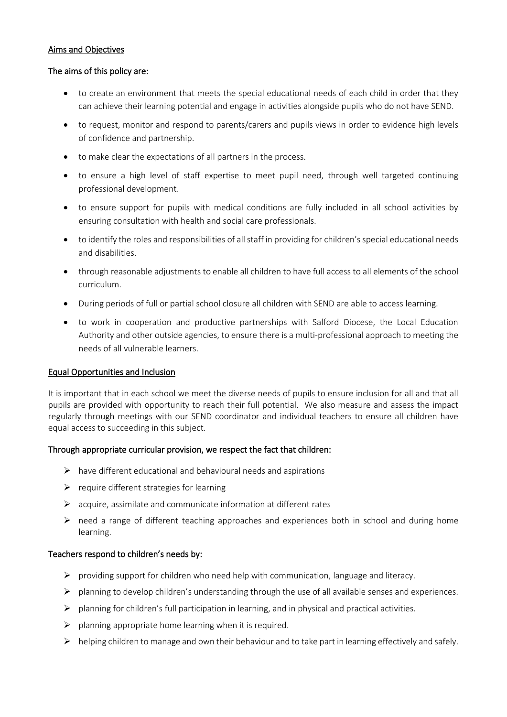#### Aims and Objectives

#### The aims of this policy are:

- to create an environment that meets the special educational needs of each child in order that they can achieve their learning potential and engage in activities alongside pupils who do not have SEND.
- to request, monitor and respond to parents/carers and pupils views in order to evidence high levels of confidence and partnership.
- to make clear the expectations of all partners in the process.
- to ensure a high level of staff expertise to meet pupil need, through well targeted continuing professional development.
- to ensure support for pupils with medical conditions are fully included in all school activities by ensuring consultation with health and social care professionals.
- to identify the roles and responsibilities of all staff in providing for children's special educational needs and disabilities.
- through reasonable adjustments to enable all children to have full access to all elements of the school curriculum.
- During periods of full or partial school closure all children with SEND are able to access learning.
- to work in cooperation and productive partnerships with Salford Diocese, the Local Education Authority and other outside agencies, to ensure there is a multi-professional approach to meeting the needs of all vulnerable learners.

#### Equal Opportunities and Inclusion

It is important that in each school we meet the diverse needs of pupils to ensure inclusion for all and that all pupils are provided with opportunity to reach their full potential. We also measure and assess the impact regularly through meetings with our SEND coordinator and individual teachers to ensure all children have equal access to succeeding in this subject.

#### Through appropriate curricular provision, we respect the fact that children:

- $\triangleright$  have different educational and behavioural needs and aspirations
- $\triangleright$  require different strategies for learning
- $\triangleright$  acquire, assimilate and communicate information at different rates
- $\triangleright$  need a range of different teaching approaches and experiences both in school and during home learning.

#### Teachers respond to children's needs by:

- $\triangleright$  providing support for children who need help with communication, language and literacy.
- $\triangleright$  planning to develop children's understanding through the use of all available senses and experiences.
- $\triangleright$  planning for children's full participation in learning, and in physical and practical activities.
- $\triangleright$  planning appropriate home learning when it is required.
- $\triangleright$  helping children to manage and own their behaviour and to take part in learning effectively and safely.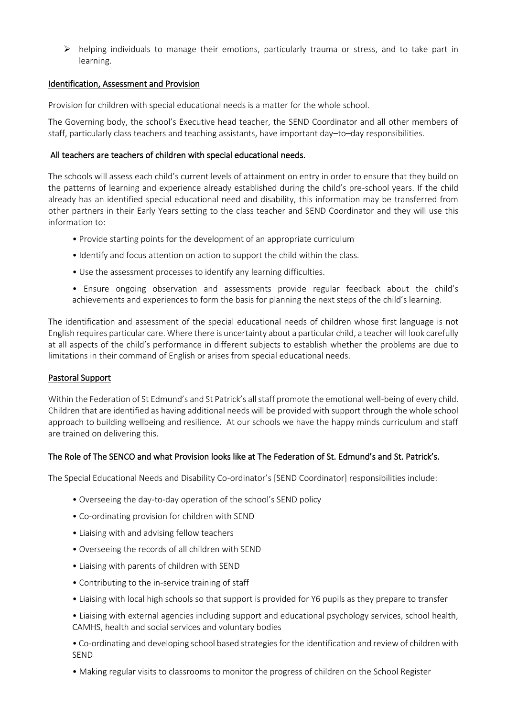$\triangleright$  helping individuals to manage their emotions, particularly trauma or stress, and to take part in learning.

#### Identification, Assessment and Provision

Provision for children with special educational needs is a matter for the whole school.

The Governing body, the school's Executive head teacher, the SEND Coordinator and all other members of staff, particularly class teachers and teaching assistants, have important day–to–day responsibilities.

#### All teachers are teachers of children with special educational needs.

The schools will assess each child's current levels of attainment on entry in order to ensure that they build on the patterns of learning and experience already established during the child's pre-school years. If the child already has an identified special educational need and disability, this information may be transferred from other partners in their Early Years setting to the class teacher and SEND Coordinator and they will use this information to:

- Provide starting points for the development of an appropriate curriculum
- Identify and focus attention on action to support the child within the class.
- Use the assessment processes to identify any learning difficulties.
- Ensure ongoing observation and assessments provide regular feedback about the child's achievements and experiences to form the basis for planning the next steps of the child's learning.

The identification and assessment of the special educational needs of children whose first language is not English requires particular care. Where there is uncertainty about a particular child, a teacher will look carefully at all aspects of the child's performance in different subjects to establish whether the problems are due to limitations in their command of English or arises from special educational needs.

#### Pastoral Support

Within the Federation of St Edmund's and St Patrick's all staff promote the emotional well-being of every child. Children that are identified as having additional needs will be provided with support through the whole school approach to building wellbeing and resilience. At our schools we have the happy minds curriculum and staff are trained on delivering this.

#### The Role of The SENCO and what Provision looks like at The Federation of St. Edmund's and St. Patrick's.

The Special Educational Needs and Disability Co-ordinator's [SEND Coordinator] responsibilities include:

- Overseeing the day-to-day operation of the school's SEND policy
- Co-ordinating provision for children with SEND
- Liaising with and advising fellow teachers
- Overseeing the records of all children with SEND
- Liaising with parents of children with SEND
- Contributing to the in-service training of staff
- Liaising with local high schools so that support is provided for Y6 pupils as they prepare to transfer
- Liaising with external agencies including support and educational psychology services, school health, CAMHS, health and social services and voluntary bodies

• Co-ordinating and developing school based strategies for the identification and review of children with SEND

• Making regular visits to classrooms to monitor the progress of children on the School Register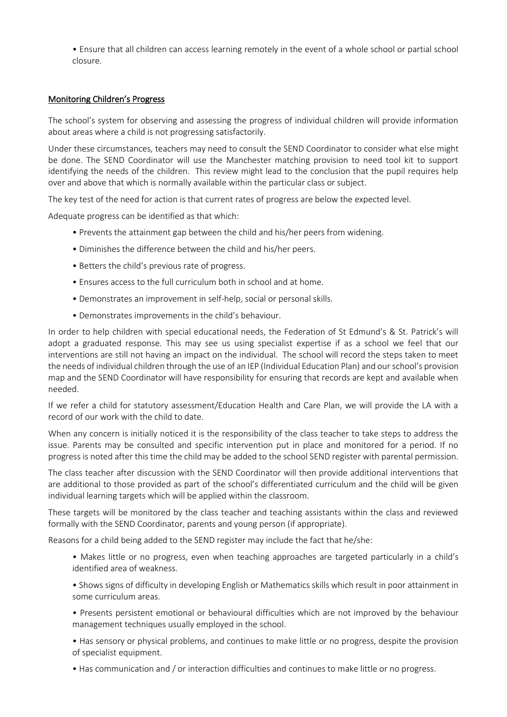• Ensure that all children can access learning remotely in the event of a whole school or partial school closure.

#### Monitoring Children's Progress

The school's system for observing and assessing the progress of individual children will provide information about areas where a child is not progressing satisfactorily.

Under these circumstances, teachers may need to consult the SEND Coordinator to consider what else might be done. The SEND Coordinator will use the Manchester matching provision to need tool kit to support identifying the needs of the children. This review might lead to the conclusion that the pupil requires help over and above that which is normally available within the particular class or subject.

The key test of the need for action is that current rates of progress are below the expected level.

Adequate progress can be identified as that which:

- Prevents the attainment gap between the child and his/her peers from widening.
- Diminishes the difference between the child and his/her peers.
- Betters the child's previous rate of progress.
- Ensures access to the full curriculum both in school and at home.
- Demonstrates an improvement in self-help, social or personal skills.
- Demonstrates improvements in the child's behaviour.

In order to help children with special educational needs, the Federation of St Edmund's & St. Patrick's will adopt a graduated response. This may see us using specialist expertise if as a school we feel that our interventions are still not having an impact on the individual. The school will record the steps taken to meet the needs of individual children through the use of an IEP (Individual Education Plan) and our school's provision map and the SEND Coordinator will have responsibility for ensuring that records are kept and available when needed.

If we refer a child for statutory assessment/Education Health and Care Plan, we will provide the LA with a record of our work with the child to date.

When any concern is initially noticed it is the responsibility of the class teacher to take steps to address the issue. Parents may be consulted and specific intervention put in place and monitored for a period. If no progress is noted after this time the child may be added to the school SEND register with parental permission.

The class teacher after discussion with the SEND Coordinator will then provide additional interventions that are additional to those provided as part of the school's differentiated curriculum and the child will be given individual learning targets which will be applied within the classroom.

These targets will be monitored by the class teacher and teaching assistants within the class and reviewed formally with the SEND Coordinator, parents and young person (if appropriate).

Reasons for a child being added to the SEND register may include the fact that he/she:

- Makes little or no progress, even when teaching approaches are targeted particularly in a child's identified area of weakness.
- Shows signs of difficulty in developing English or Mathematics skills which result in poor attainment in some curriculum areas.
- Presents persistent emotional or behavioural difficulties which are not improved by the behaviour management techniques usually employed in the school.
- Has sensory or physical problems, and continues to make little or no progress, despite the provision of specialist equipment.
- Has communication and / or interaction difficulties and continues to make little or no progress.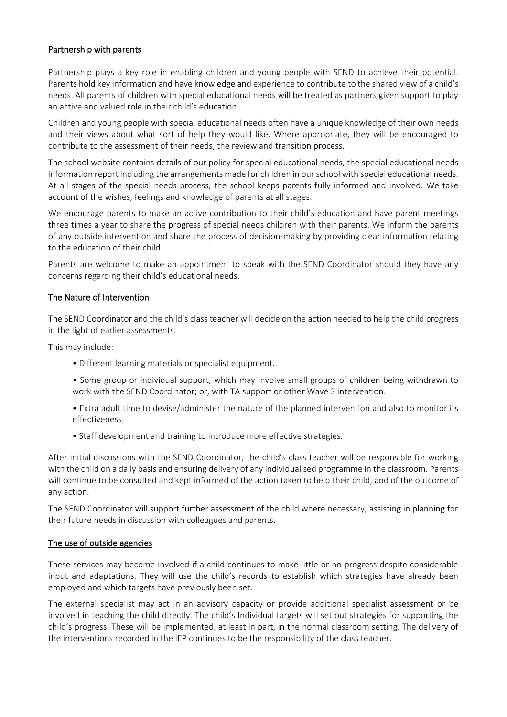#### Partnership with parents

Partnership plays a key role in enabling children and young people with SEND to achieve their potential. Parents hold key information and have knowledge and experience to contribute to the shared view of a child's needs. All parents of children with special educational needs will be treated as partners given support to play an active and valued role in their child's education.

Children and young people with special educational needs often have a unique knowledge of their own needs and their views about what sort of help they would like. Where appropriate, they will be encouraged to contribute to the assessment of their needs, the review and transition process.

The school website contains details of our policy for special educational needs, the special educational needs information report including the arrangements made for children in our school with special educational needs. At all stages of the special needs process, the school keeps parents fully informed and involved. We take account of the wishes, feelings and knowledge of parents at all stages.

We encourage parents to make an active contribution to their child's education and have parent meetings three times a year to share the progress of special needs children with their parents. We inform the parents of any outside intervention and share the process of decision-making by providing clear information relating to the education of their child.

Parents are welcome to make an appointment to speak with the SEND Coordinator should they have any concerns regarding their child's educational needs.

#### The Nature of Intervention

The SEND Coordinator and the child's class teacher will decide on the action needed to help the child progress in the light of earlier assessments.

This may include:

- Different learning materials or specialist equipment.
- Some group or individual support, which may involve small groups of children being withdrawn to work with the SEND Coordinator; or, with TA support or other Wave 3 intervention.
- Extra adult time to devise/administer the nature of the planned intervention and also to monitor its effectiveness.
- Staff development and training to introduce more effective strategies.

After initial discussions with the SEND Coordinator, the child's class teacher will be responsible for working with the child on a daily basis and ensuring delivery of any individualised programme in the classroom. Parents will continue to be consulted and kept informed of the action taken to help their child, and of the outcome of any action.

The SEND Coordinator will support further assessment of the child where necessary, assisting in planning for their future needs in discussion with colleagues and parents.

#### The use of outside agencies

These services may become involved if a child continues to make little or no progress despite considerable input and adaptations. They will use the child's records to establish which strategies have already been employed and which targets have previously been set.

The external specialist may act in an advisory capacity or provide additional specialist assessment or be involved in teaching the child directly. The child's Individual targets will set out strategies for supporting the child's progress. These will be implemented, at least in part, in the normal classroom setting. The delivery of the interventions recorded in the IEP continues to be the responsibility of the class teacher.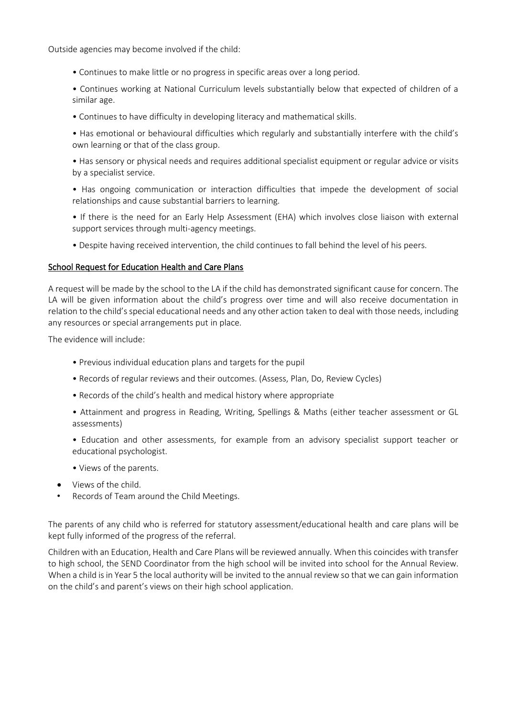Outside agencies may become involved if the child:

- Continues to make little or no progress in specific areas over a long period.
- Continues working at National Curriculum levels substantially below that expected of children of a similar age.
- Continues to have difficulty in developing literacy and mathematical skills.
- Has emotional or behavioural difficulties which regularly and substantially interfere with the child's own learning or that of the class group.
- Has sensory or physical needs and requires additional specialist equipment or regular advice or visits by a specialist service.
- Has ongoing communication or interaction difficulties that impede the development of social relationships and cause substantial barriers to learning.
- If there is the need for an Early Help Assessment (EHA) which involves close liaison with external support services through multi-agency meetings.
- Despite having received intervention, the child continues to fall behind the level of his peers.

#### School Request for Education Health and Care Plans

A request will be made by the school to the LA if the child has demonstrated significant cause for concern. The LA will be given information about the child's progress over time and will also receive documentation in relation to the child's special educational needs and any other action taken to deal with those needs, including any resources or special arrangements put in place.

The evidence will include:

- Previous individual education plans and targets for the pupil
- Records of regular reviews and their outcomes. (Assess, Plan, Do, Review Cycles)
- Records of the child's health and medical history where appropriate
- Attainment and progress in Reading, Writing, Spellings & Maths (either teacher assessment or GL assessments)
- Education and other assessments, for example from an advisory specialist support teacher or educational psychologist.
- Views of the parents.
- Views of the child.
- Records of Team around the Child Meetings.

The parents of any child who is referred for statutory assessment/educational health and care plans will be kept fully informed of the progress of the referral.

Children with an Education, Health and Care Plans will be reviewed annually. When this coincides with transfer to high school, the SEND Coordinator from the high school will be invited into school for the Annual Review. When a child is in Year 5 the local authority will be invited to the annual review so that we can gain information on the child's and parent's views on their high school application.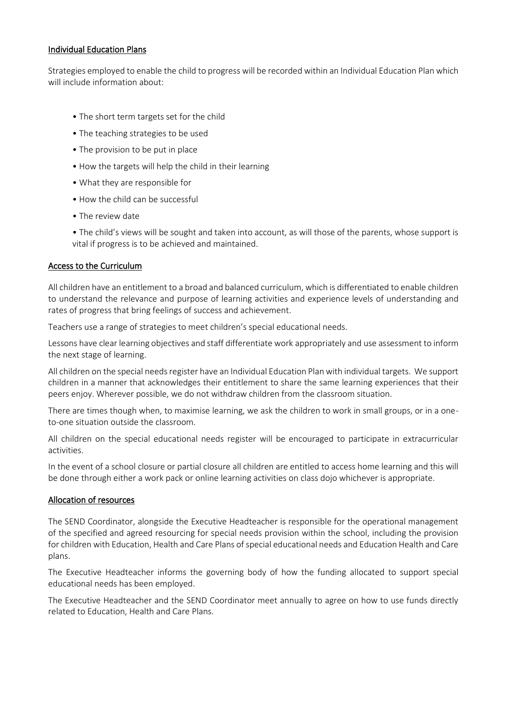#### Individual Education Plans

Strategies employed to enable the child to progress will be recorded within an Individual Education Plan which will include information about:

- The short term targets set for the child
- The teaching strategies to be used
- The provision to be put in place
- How the targets will help the child in their learning
- What they are responsible for
- How the child can be successful
- The review date
- The child's views will be sought and taken into account, as will those of the parents, whose support is vital if progress is to be achieved and maintained.

#### Access to the Curriculum

All children have an entitlement to a broad and balanced curriculum, which is differentiated to enable children to understand the relevance and purpose of learning activities and experience levels of understanding and rates of progress that bring feelings of success and achievement.

Teachers use a range of strategies to meet children's special educational needs.

Lessons have clear learning objectives and staff differentiate work appropriately and use assessment to inform the next stage of learning.

All children on the special needs register have an Individual Education Plan with individual targets. We support children in a manner that acknowledges their entitlement to share the same learning experiences that their peers enjoy. Wherever possible, we do not withdraw children from the classroom situation.

There are times though when, to maximise learning, we ask the children to work in small groups, or in a oneto-one situation outside the classroom.

All children on the special educational needs register will be encouraged to participate in extracurricular activities.

In the event of a school closure or partial closure all children are entitled to access home learning and this will be done through either a work pack or online learning activities on class dojo whichever is appropriate.

#### Allocation of resources

The SEND Coordinator, alongside the Executive Headteacher is responsible for the operational management of the specified and agreed resourcing for special needs provision within the school, including the provision for children with Education, Health and Care Plans of special educational needs and Education Health and Care plans.

The Executive Headteacher informs the governing body of how the funding allocated to support special educational needs has been employed.

The Executive Headteacher and the SEND Coordinator meet annually to agree on how to use funds directly related to Education, Health and Care Plans.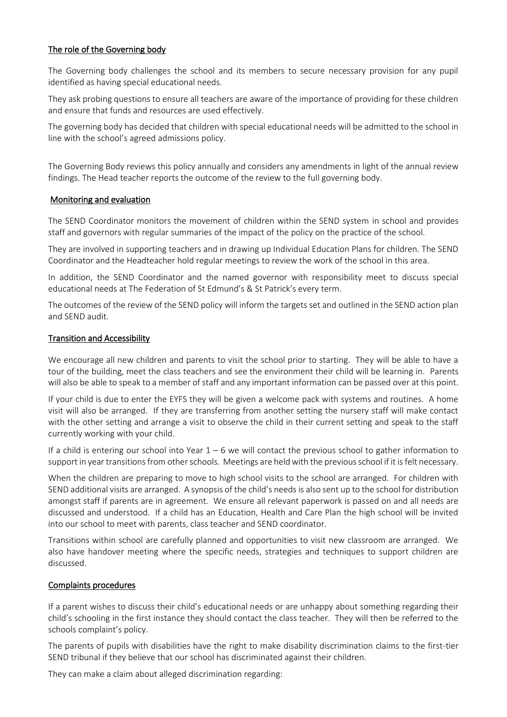#### The role of the Governing body

The Governing body challenges the school and its members to secure necessary provision for any pupil identified as having special educational needs.

They ask probing questions to ensure all teachers are aware of the importance of providing for these children and ensure that funds and resources are used effectively.

The governing body has decided that children with special educational needs will be admitted to the school in line with the school's agreed admissions policy.

The Governing Body reviews this policy annually and considers any amendments in light of the annual review findings. The Head teacher reports the outcome of the review to the full governing body.

#### Monitoring and evaluation

The SEND Coordinator monitors the movement of children within the SEND system in school and provides staff and governors with regular summaries of the impact of the policy on the practice of the school.

They are involved in supporting teachers and in drawing up Individual Education Plans for children. The SEND Coordinator and the Headteacher hold regular meetings to review the work of the school in this area.

In addition, the SEND Coordinator and the named governor with responsibility meet to discuss special educational needs at The Federation of St Edmund's & St Patrick's every term.

The outcomes of the review of the SEND policy will inform the targets set and outlined in the SEND action plan and SEND audit.

#### Transition and Accessibility

We encourage all new children and parents to visit the school prior to starting. They will be able to have a tour of the building, meet the class teachers and see the environment their child will be learning in. Parents will also be able to speak to a member of staff and any important information can be passed over at this point.

If your child is due to enter the EYFS they will be given a welcome pack with systems and routines. A home visit will also be arranged. If they are transferring from another setting the nursery staff will make contact with the other setting and arrange a visit to observe the child in their current setting and speak to the staff currently working with your child.

If a child is entering our school into Year  $1 - 6$  we will contact the previous school to gather information to support in year transitions from other schools. Meetings are held with the previous school if it is felt necessary.

When the children are preparing to move to high school visits to the school are arranged. For children with SEND additional visits are arranged. A synopsis of the child's needs is also sent up to the school for distribution amongst staff if parents are in agreement. We ensure all relevant paperwork is passed on and all needs are discussed and understood. If a child has an Education, Health and Care Plan the high school will be invited into our school to meet with parents, class teacher and SEND coordinator.

Transitions within school are carefully planned and opportunities to visit new classroom are arranged. We also have handover meeting where the specific needs, strategies and techniques to support children are discussed.

#### Complaints procedures

If a parent wishes to discuss their child's educational needs or are unhappy about something regarding their child's schooling in the first instance they should contact the class teacher. They will then be referred to the schools complaint's policy.

The parents of pupils with disabilities have the right to make disability discrimination claims to the first-tier SEND tribunal if they believe that our school has discriminated against their children.

They can make a claim about alleged discrimination regarding: